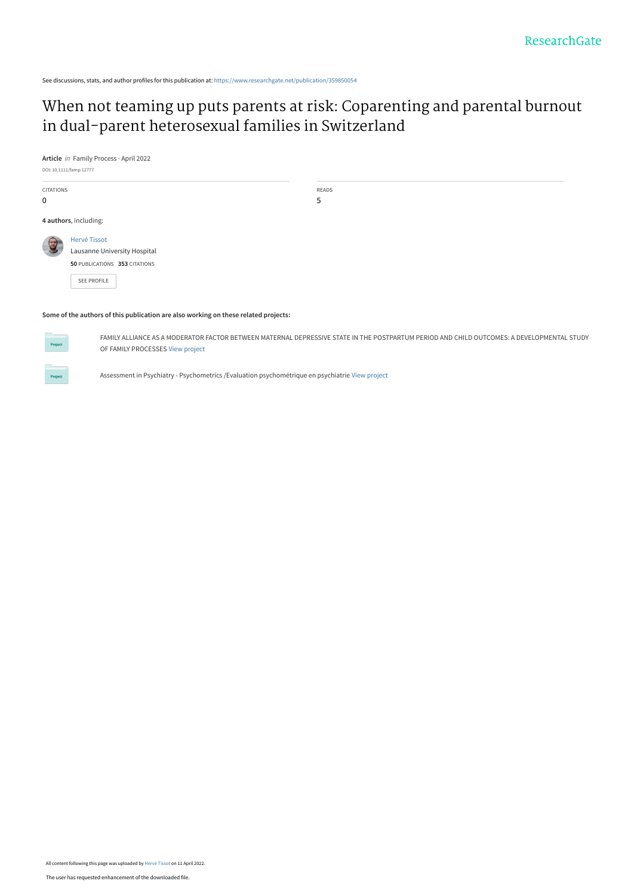See discussions, stats, and author profiles for this publication at: [https://www.researchgate.net/publication/359850054](https://www.researchgate.net/publication/359850054_When_not_teaming_up_puts_parents_at_risk_Coparenting_and_parental_burnout_in_dual-parent_heterosexual_families_in_Switzerland?enrichId=rgreq-318fde40ef8232bf756219fd2d9739bf-XXX&enrichSource=Y292ZXJQYWdlOzM1OTg1MDA1NDtBUzoxMTQzNTc0ODgwMTA4NTQ1QDE2NDk2NjA5MDYxNjQ%3D&el=1_x_2&_esc=publicationCoverPdf)

# [When not teaming up puts parents at risk: Coparenting and parental burnout](https://www.researchgate.net/publication/359850054_When_not_teaming_up_puts_parents_at_risk_Coparenting_and_parental_burnout_in_dual-parent_heterosexual_families_in_Switzerland?enrichId=rgreq-318fde40ef8232bf756219fd2d9739bf-XXX&enrichSource=Y292ZXJQYWdlOzM1OTg1MDA1NDtBUzoxMTQzNTc0ODgwMTA4NTQ1QDE2NDk2NjA5MDYxNjQ%3D&el=1_x_3&_esc=publicationCoverPdf) in dual‐parent heterosexual families in Switzerland

**Article** in Family Process · April 2022

DOI: 10.1111/famp.12777 CITATIONS 0 READS 5 **4 authors**, including: [Hervé Tissot](https://www.researchgate.net/profile/Herve-Tissot?enrichId=rgreq-318fde40ef8232bf756219fd2d9739bf-XXX&enrichSource=Y292ZXJQYWdlOzM1OTg1MDA1NDtBUzoxMTQzNTc0ODgwMTA4NTQ1QDE2NDk2NjA5MDYxNjQ%3D&el=1_x_5&_esc=publicationCoverPdf) [Lausanne University Hospital](https://www.researchgate.net/institution/Lausanne-University-Hospital?enrichId=rgreq-318fde40ef8232bf756219fd2d9739bf-XXX&enrichSource=Y292ZXJQYWdlOzM1OTg1MDA1NDtBUzoxMTQzNTc0ODgwMTA4NTQ1QDE2NDk2NjA5MDYxNjQ%3D&el=1_x_6&_esc=publicationCoverPdf) **50** PUBLICATIONS **353** CITATIONS [SEE PROFILE](https://www.researchgate.net/profile/Herve-Tissot?enrichId=rgreq-318fde40ef8232bf756219fd2d9739bf-XXX&enrichSource=Y292ZXJQYWdlOzM1OTg1MDA1NDtBUzoxMTQzNTc0ODgwMTA4NTQ1QDE2NDk2NjA5MDYxNjQ%3D&el=1_x_7&_esc=publicationCoverPdf)

#### **Some of the authors of this publication are also working on these related projects:**



FAMILY ALLIANCE AS A MODERATOR FACTOR BETWEEN MATERNAL DEPRESSIVE STATE IN THE POSTPARTUM PERIOD AND CHILD OUTCOMES: A DEVELOPMENTAL STUDY OF FAMILY PROCESSES [View project](https://www.researchgate.net/project/FAMILY-ALLIANCE-AS-A-MODERATOR-FACTOR-BETWEEN-MATERNAL-DEPRESSIVE-STATE-IN-THE-POSTPARTUM-PERIOD-AND-CHILD-OUTCOMES-A-DEVELOPMENTAL-STUDY-OF-FAMILY-PROCESSES?enrichId=rgreq-318fde40ef8232bf756219fd2d9739bf-XXX&enrichSource=Y292ZXJQYWdlOzM1OTg1MDA1NDtBUzoxMTQzNTc0ODgwMTA4NTQ1QDE2NDk2NjA5MDYxNjQ%3D&el=1_x_9&_esc=publicationCoverPdf)



Assessment in Psychiatry - Psychometrics /Evaluation psychométrique en psychiatrie [View project](https://www.researchgate.net/project/Assessment-in-Psychiatry-Psychometrics-Evaluation-psychometrique-en-psychiatrie?enrichId=rgreq-318fde40ef8232bf756219fd2d9739bf-XXX&enrichSource=Y292ZXJQYWdlOzM1OTg1MDA1NDtBUzoxMTQzNTc0ODgwMTA4NTQ1QDE2NDk2NjA5MDYxNjQ%3D&el=1_x_9&_esc=publicationCoverPdf)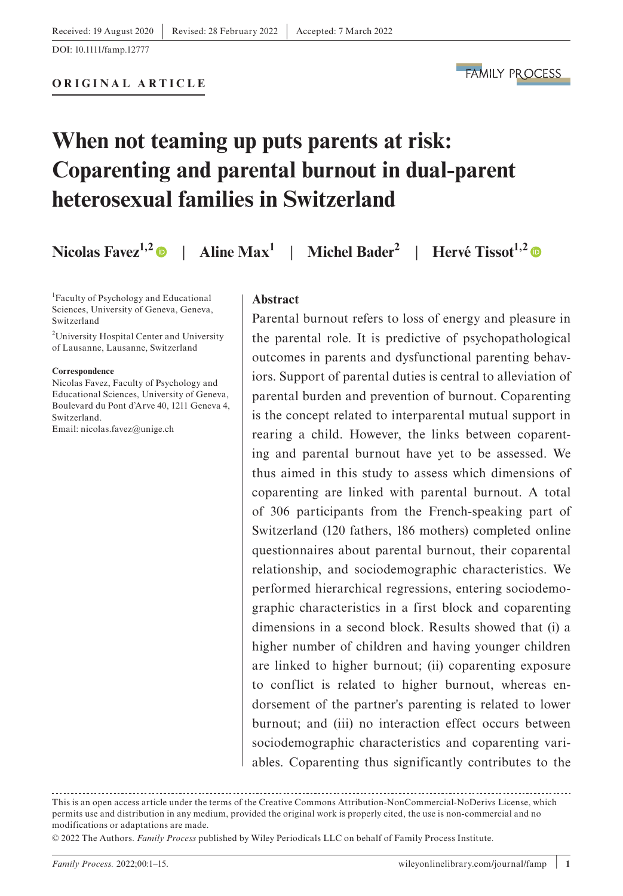**FAMILY PROCESS** 

# **When not teaming up puts parents at risk: Coparenting and parental burnout in dual-parent heterosexual families in Switzerland**

**Nicolas Favez<sup>1,[2](https://orcid.org/0000-0003-1744-7602)</sup> | Aline Max<sup>1</sup> | Michel Bader<sup>2</sup> | Hervé Tissot<sup>1,2</sup> | <b>O** 

1 Faculty of Psychology and Educational Sciences, University of Geneva, Geneva, Switzerland

2 University Hospital Center and University of Lausanne, Lausanne, Switzerland

#### **Correspondence**

Nicolas Favez, Faculty of Psychology and Educational Sciences, University of Geneva, Boulevard du Pont d'Arve 40, 1211 Geneva 4, Switzerland. Email: [nicolas.favez@unige.ch](mailto:nicolas.favez@unige.ch)

#### **Abstract**

Parental burnout refers to loss of energy and pleasure in the parental role. It is predictive of psychopathological outcomes in parents and dysfunctional parenting behaviors. Support of parental duties is central to alleviation of parental burden and prevention of burnout. Coparenting is the concept related to interparental mutual support in rearing a child. However, the links between coparenting and parental burnout have yet to be assessed. We thus aimed in this study to assess which dimensions of coparenting are linked with parental burnout. A total of 306 participants from the French-speaking part of Switzerland (120 fathers, 186 mothers) completed online questionnaires about parental burnout, their coparental relationship, and sociodemographic characteristics. We performed hierarchical regressions, entering sociodemographic characteristics in a first block and coparenting dimensions in a second block. Results showed that (i) a higher number of children and having younger children are linked to higher burnout; (ii) coparenting exposure to conflict is related to higher burnout, whereas endorsement of the partner's parenting is related to lower burnout; and (iii) no interaction effect occurs between sociodemographic characteristics and coparenting variables. Coparenting thus significantly contributes to the

This is an open access article under the terms of the [Creative Commons Attribution-NonCommercial-NoDerivs](http://creativecommons.org/licenses/by-nc-nd/4.0/) License, which permits use and distribution in any medium, provided the original work is properly cited, the use is non-commercial and no modifications or adaptations are made.

<sup>© 2022</sup> The Authors. *Family Process* published by Wiley Periodicals LLC on behalf of Family Process Institute.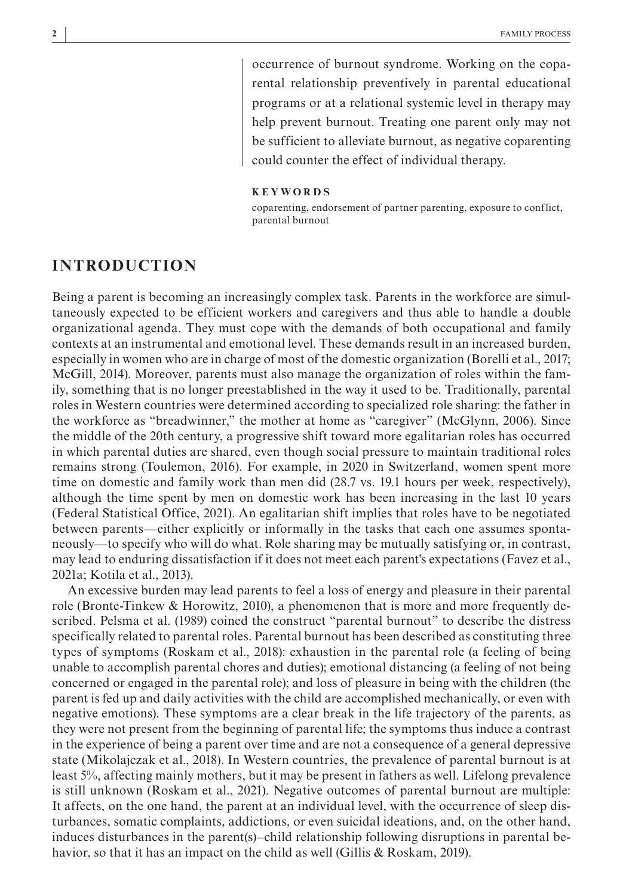occurrence of burnout syndrome. Working on the coparental relationship preventively in parental educational programs or at a relational systemic level in therapy may help prevent burnout. Treating one parent only may not be sufficient to alleviate burnout, as negative coparenting could counter the effect of individual therapy.

#### **KEYWORDS**

coparenting, endorsement of partner parenting, exposure to conflict, parental burnout

# **INTRODUCTION**

Being a parent is becoming an increasingly complex task. Parents in the workforce are simultaneously expected to be efficient workers and caregivers and thus able to handle a double organizational agenda. They must cope with the demands of both occupational and family contexts at an instrumental and emotional level. These demands result in an increased burden, especially in women who are in charge of most of the domestic organization (Borelli et al., 2017; McGill, 2014). Moreover, parents must also manage the organization of roles within the family, something that is no longer preestablished in the way it used to be. Traditionally, parental roles in Western countries were determined according to specialized role sharing: the father in the workforce as "breadwinner," the mother at home as "caregiver" (McGlynn, 2006). Since the middle of the 20th century, a progressive shift toward more egalitarian roles has occurred in which parental duties are shared, even though social pressure to maintain traditional roles remains strong (Toulemon, 2016). For example, in 2020 in Switzerland, women spent more time on domestic and family work than men did (28.7 vs. 19.1 hours per week, respectively), although the time spent by men on domestic work has been increasing in the last 10 years (Federal Statistical Office, 2021). An egalitarian shift implies that roles have to be negotiated between parents—either explicitly or informally in the tasks that each one assumes spontaneously—to specify who will do what. Role sharing may be mutually satisfying or, in contrast, may lead to enduring dissatisfaction if it does not meet each parent's expectations (Favez et al., 2021a; Kotila et al., 2013).

An excessive burden may lead parents to feel a loss of energy and pleasure in their parental role (Bronte-Tinkew & Horowitz, 2010), a phenomenon that is more and more frequently described. Pelsma et al. (1989) coined the construct "parental burnout" to describe the distress specifically related to parental roles. Parental burnout has been described as constituting three types of symptoms (Roskam et al., 2018): exhaustion in the parental role (a feeling of being unable to accomplish parental chores and duties); emotional distancing (a feeling of not being concerned or engaged in the parental role); and loss of pleasure in being with the children (the parent is fed up and daily activities with the child are accomplished mechanically, or even with negative emotions). These symptoms are a clear break in the life trajectory of the parents, as they were not present from the beginning of parental life; the symptoms thus induce a contrast in the experience of being a parent over time and are not a consequence of a general depressive state (Mikolajczak et al., 2018). In Western countries, the prevalence of parental burnout is at least 5%, affecting mainly mothers, but it may be present in fathers as well. Lifelong prevalence is still unknown (Roskam et al., 2021). Negative outcomes of parental burnout are multiple: It affects, on the one hand, the parent at an individual level, with the occurrence of sleep disturbances, somatic complaints, addictions, or even suicidal ideations, and, on the other hand, induces disturbances in the parent(s)–child relationship following disruptions in parental behavior, so that it has an impact on the child as well (Gillis & Roskam, 2019).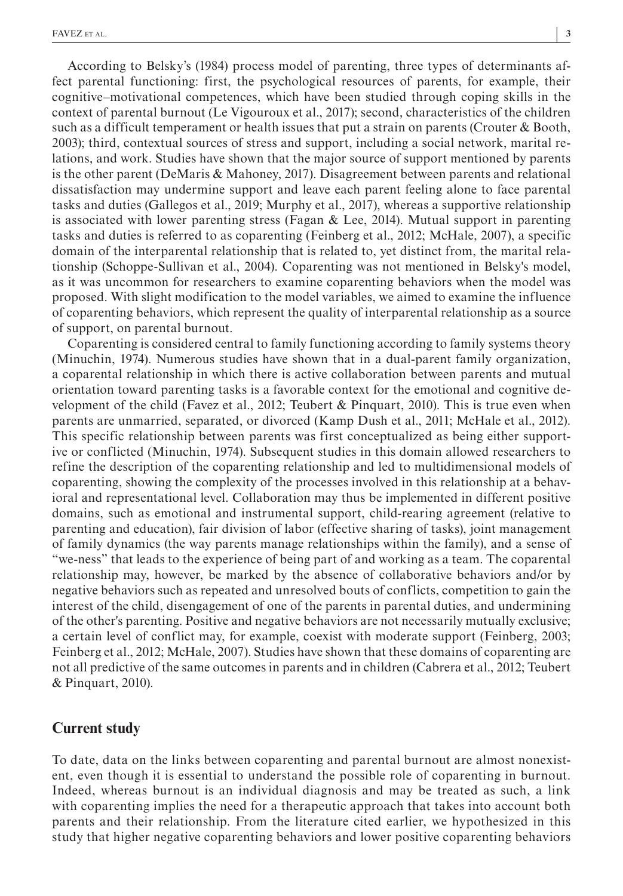According to Belsky's (1984) process model of parenting, three types of determinants affect parental functioning: first, the psychological resources of parents, for example, their cognitive–motivational competences, which have been studied through coping skills in the context of parental burnout (Le Vigouroux et al., 2017); second, characteristics of the children such as a difficult temperament or health issues that put a strain on parents (Crouter & Booth, 2003); third, contextual sources of stress and support, including a social network, marital relations, and work. Studies have shown that the major source of support mentioned by parents is the other parent (DeMaris & Mahoney, 2017). Disagreement between parents and relational dissatisfaction may undermine support and leave each parent feeling alone to face parental tasks and duties (Gallegos et al., 2019; Murphy et al., 2017), whereas a supportive relationship is associated with lower parenting stress (Fagan  $\&$  Lee, 2014). Mutual support in parenting tasks and duties is referred to as coparenting (Feinberg et al., 2012; McHale, 2007), a specific domain of the interparental relationship that is related to, yet distinct from, the marital relationship (Schoppe-Sullivan et al., 2004). Coparenting was not mentioned in Belsky's model, as it was uncommon for researchers to examine coparenting behaviors when the model was proposed. With slight modification to the model variables, we aimed to examine the influence of coparenting behaviors, which represent the quality of interparental relationship as a source of support, on parental burnout.

Coparenting is considered central to family functioning according to family systems theory (Minuchin, 1974). Numerous studies have shown that in a dual-parent family organization, a coparental relationship in which there is active collaboration between parents and mutual orientation toward parenting tasks is a favorable context for the emotional and cognitive development of the child (Favez et al., 2012; Teubert & Pinquart, 2010). This is true even when parents are unmarried, separated, or divorced (Kamp Dush et al., 2011; McHale et al., 2012). This specific relationship between parents was first conceptualized as being either supportive or conflicted (Minuchin, 1974). Subsequent studies in this domain allowed researchers to refine the description of the coparenting relationship and led to multidimensional models of coparenting, showing the complexity of the processes involved in this relationship at a behavioral and representational level. Collaboration may thus be implemented in different positive domains, such as emotional and instrumental support, child-rearing agreement (relative to parenting and education), fair division of labor (effective sharing of tasks), joint management of family dynamics (the way parents manage relationships within the family), and a sense of "we-ness" that leads to the experience of being part of and working as a team. The coparental relationship may, however, be marked by the absence of collaborative behaviors and/or by negative behaviors such as repeated and unresolved bouts of conflicts, competition to gain the interest of the child, disengagement of one of the parents in parental duties, and undermining of the other's parenting. Positive and negative behaviors are not necessarily mutually exclusive; a certain level of conflict may, for example, coexist with moderate support (Feinberg, 2003; Feinberg et al., 2012; McHale, 2007). Studies have shown that these domains of coparenting are not all predictive of the same outcomes in parents and in children (Cabrera et al., 2012; Teubert & Pinquart, 2010).

# **Current study**

To date, data on the links between coparenting and parental burnout are almost nonexistent, even though it is essential to understand the possible role of coparenting in burnout. Indeed, whereas burnout is an individual diagnosis and may be treated as such, a link with coparenting implies the need for a therapeutic approach that takes into account both parents and their relationship. From the literature cited earlier, we hypothesized in this study that higher negative coparenting behaviors and lower positive coparenting behaviors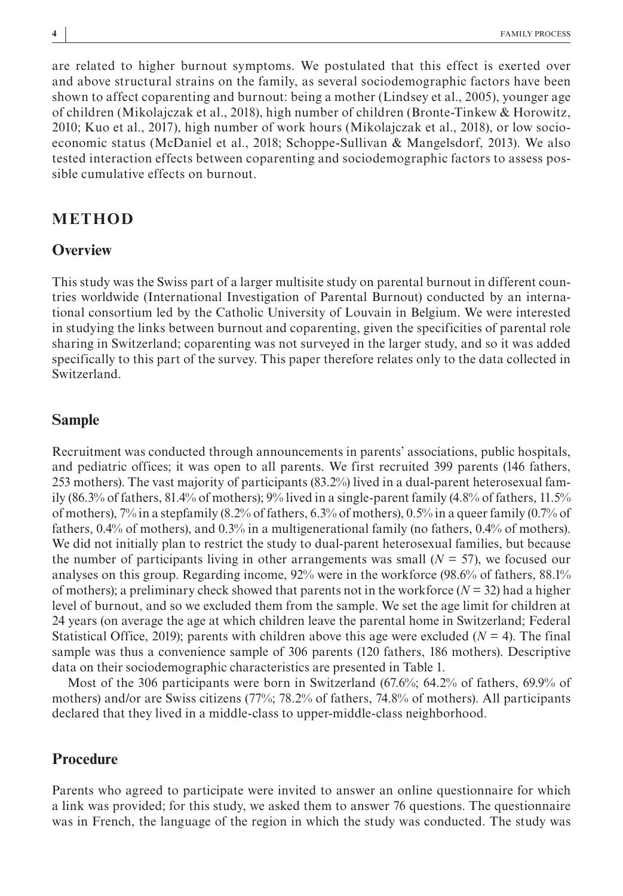are related to higher burnout symptoms. We postulated that this effect is exerted over and above structural strains on the family, as several sociodemographic factors have been shown to affect coparenting and burnout: being a mother (Lindsey et al., 2005), younger age of children (Mikolajczak et al., 2018), high number of children (Bronte-Tinkew & Horowitz, 2010; Kuo et al., 2017), high number of work hours (Mikolajczak et al., 2018), or low socioeconomic status (McDaniel et al., 2018; Schoppe-Sullivan & Mangelsdorf, 2013). We also tested interaction effects between coparenting and sociodemographic factors to assess possible cumulative effects on burnout.

# **METHOD**

#### **Overview**

This study was the Swiss part of a larger multisite study on parental burnout in different countries worldwide (International Investigation of Parental Burnout) conducted by an international consortium led by the Catholic University of Louvain in Belgium. We were interested in studying the links between burnout and coparenting, given the specificities of parental role sharing in Switzerland; coparenting was not surveyed in the larger study, and so it was added specifically to this part of the survey. This paper therefore relates only to the data collected in Switzerland.

# **Sample**

Recruitment was conducted through announcements in parents' associations, public hospitals, and pediatric offices; it was open to all parents. We first recruited 399 parents (146 fathers, 253 mothers). The vast majority of participants (83.2%) lived in a dual-parent heterosexual family (86.3% of fathers, 81.4% of mothers); 9% lived in a single-parent family (4.8% of fathers, 11.5% of mothers),  $7\%$  in a stepfamily (8.2% of fathers, 6.3% of mothers), 0.5% in a queer family (0.7% of fathers, 0.4% of mothers), and 0.3% in a multigenerational family (no fathers, 0.4% of mothers). We did not initially plan to restrict the study to dual-parent heterosexual families, but because the number of participants living in other arrangements was small  $(N = 57)$ , we focused our analyses on this group. Regarding income, 92% were in the workforce (98.6% of fathers, 88.1% of mothers); a preliminary check showed that parents not in the workforce  $(N = 32)$  had a higher level of burnout, and so we excluded them from the sample. We set the age limit for children at 24 years (on average the age at which children leave the parental home in Switzerland; Federal Statistical Office, 2019); parents with children above this age were excluded  $(N = 4)$ . The final sample was thus a convenience sample of 306 parents (120 fathers, 186 mothers). Descriptive data on their sociodemographic characteristics are presented in Table 1.

Most of the 306 participants were born in Switzerland (67.6%; 64.2% of fathers, 69.9% of mothers) and/or are Swiss citizens (77%; 78.2% of fathers, 74.8% of mothers). All participants declared that they lived in a middle-class to upper-middle-class neighborhood.

# **Procedure**

Parents who agreed to participate were invited to answer an online questionnaire for which a link was provided; for this study, we asked them to answer 76 questions. The questionnaire was in French, the language of the region in which the study was conducted. The study was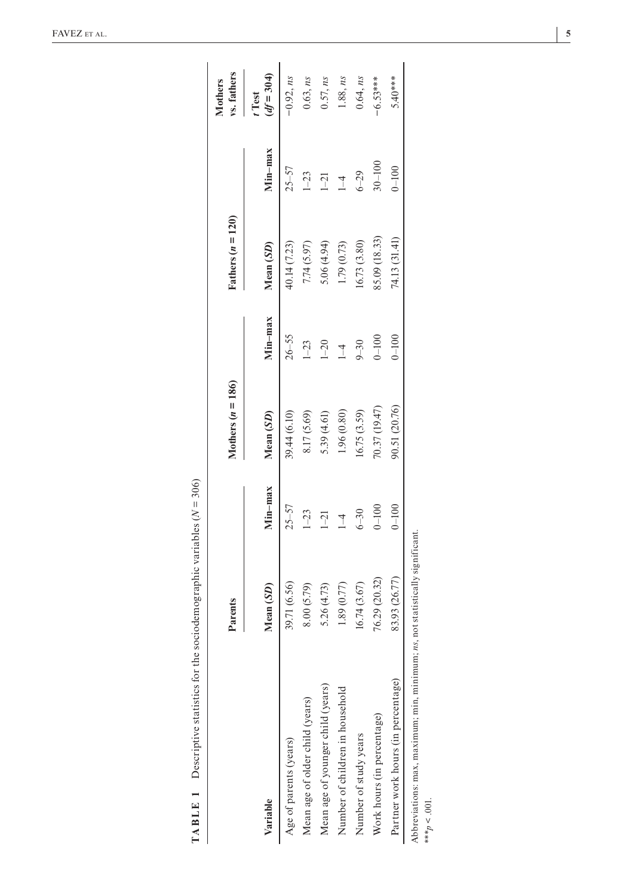| $\overline{5}$<br>$\frac{30}{5}$<br>II<br>ł<br>į<br>)<br>١<br>$\overline{a}$<br>l<br>ļ<br>ł<br>ł<br>١<br>$\mathfrak{c}$<br>ì |  |
|------------------------------------------------------------------------------------------------------------------------------|--|
| I<br>ŗ<br>l<br>$\overline{a}$<br>֕<br>ı<br>ĺ<br>I                                                                            |  |

|                                                                                  | Parents       |                | Mothers $(n = 186)$ |                | Fathers $(n = 120)$ |            | vs. fathers<br><b>Mothers</b> |
|----------------------------------------------------------------------------------|---------------|----------------|---------------------|----------------|---------------------|------------|-------------------------------|
| Variable                                                                         | Mean (SD)     | Min-max        | Mean (SD)           | Min-max        | Mean (SD)           | Min-max    | $df = 304$<br>Test            |
| Age of parents (years)                                                           | 39.71 (6.56)  | $25 - 57$      | 39.44 (6.10)        | $26 - 55$      | 0.14(7.23)          | $25 - 57$  | $-0.92$ , ns                  |
| Mean age of older child (years)                                                  | 8.00 (5.79)   | $1 - 23$       | 8.17 (5.69)         | $1 - 23$       | 7.74 (5.97)         | $1 - 23$   | 0.63, ns                      |
| Mean age of younger child (years)                                                | 5.26 (4.73)   | $\overline{1}$ | 5.39 (4.61)         | $1 - 20$       | 5.06 (4.94)         | $1-21$     | 0.57, ns                      |
| Number of children in household                                                  | 1.89 (0.77)   | $\overline{1}$ | 1.96 (0.80)         | $\overline{1}$ | 1.79 (0.73)         | $1 - 4$    | 1.88, ns                      |
| Number of study years                                                            | 16.74(3.67)   | $6 - 30$       | (6.75(3.59))        | $9 - 30$       | (6.73(3.80)         | $6 - 29$   | 0.64, ns                      |
| Work hours (in percentage)                                                       | 76.29 (20.32) | $0 - 100$      | 70.37 (19.47)       | $0 - 100$      | 85.09 (18.33)       | $30 - 100$ | $-6.53***$                    |
| Partner work hours (in percentage)                                               | 83.93 (26.77) | $0 - 100$      | 90.51 (20.76)       | $0 - 100$      | (14.13(31.41))      | $0 - 100$  | 5.40****                      |
| Abbreviations: max, maximum; min, minimum; $ns$ , not statistically significant. |               |                |                     |                |                     |            |                               |
| *** $p < .001$ .                                                                 |               |                |                     |                |                     |            |                               |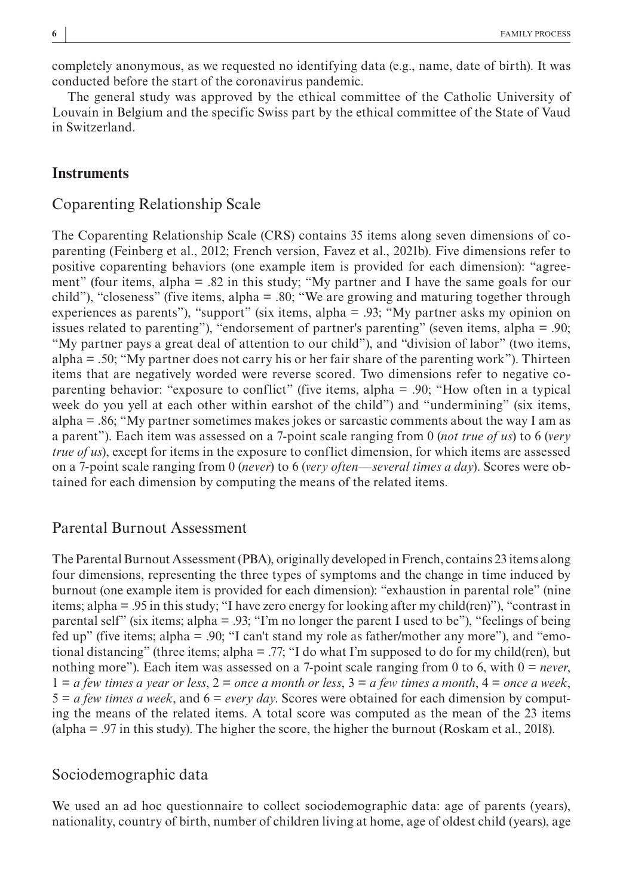completely anonymous, as we requested no identifying data (e.g., name, date of birth). It was conducted before the start of the coronavirus pandemic.

The general study was approved by the ethical committee of the Catholic University of Louvain in Belgium and the specific Swiss part by the ethical committee of the State of Vaud in Switzerland.

#### **Instruments**

#### Coparenting Relationship Scale

The Coparenting Relationship Scale (CRS) contains 35 items along seven dimensions of coparenting (Feinberg et al., 2012; French version, Favez et al., 2021b). Five dimensions refer to positive coparenting behaviors (one example item is provided for each dimension): "agreement" (four items, alpha = .82 in this study; "My partner and I have the same goals for our child"), "closeness" (five items, alpha = .80; "We are growing and maturing together through experiences as parents"), "support" (six items, alpha = .93; "My partner asks my opinion on issues related to parenting"), "endorsement of partner's parenting" (seven items, alpha = .90; "My partner pays a great deal of attention to our child"), and "division of labor" (two items, alpha  $= 0.50$ ; "My partner does not carry his or her fair share of the parenting work"). Thirteen items that are negatively worded were reverse scored. Two dimensions refer to negative coparenting behavior: "exposure to conflict" (five items, alpha = .90; "How often in a typical week do you yell at each other within earshot of the child") and "undermining" (six items, alpha = .86; "My partner sometimes makes jokes or sarcastic comments about the way I am as a parent"). Each item was assessed on a 7-point scale ranging from 0 (*not true of us*) to 6 (*very true of us*), except for items in the exposure to conflict dimension, for which items are assessed on a 7-point scale ranging from 0 (*never*) to 6 (*very often—several times a day*). Scores were obtained for each dimension by computing the means of the related items.

# Parental Burnout Assessment

The Parental Burnout Assessment (PBA), originally developed in French, contains 23 items along four dimensions, representing the three types of symptoms and the change in time induced by burnout (one example item is provided for each dimension): "exhaustion in parental role" (nine items; alpha = .95 in this study; "I have zero energy for looking after my child(ren)"), "contrast in parental self" (six items; alpha = .93; "I'm no longer the parent I used to be"), "feelings of being fed up" (five items; alpha = .90; "I can't stand my role as father/mother any more"), and "emotional distancing" (three items; alpha = .77; "I do what I'm supposed to do for my child(ren), but nothing more"). Each item was assessed on a 7-point scale ranging from 0 to 6, with 0 = *never*, 1 = *a few times a year or less*, 2 = *once a month or less*, 3 = *a few times a month*, 4 = *once a week*, 5 = *a few times a week*, and 6 = *every day*. Scores were obtained for each dimension by computing the means of the related items. A total score was computed as the mean of the 23 items (alpha = .97 in this study). The higher the score, the higher the burnout (Roskam et al., 2018).

#### Sociodemographic data

We used an ad hoc questionnaire to collect sociodemographic data: age of parents (years), nationality, country of birth, number of children living at home, age of oldest child (years), age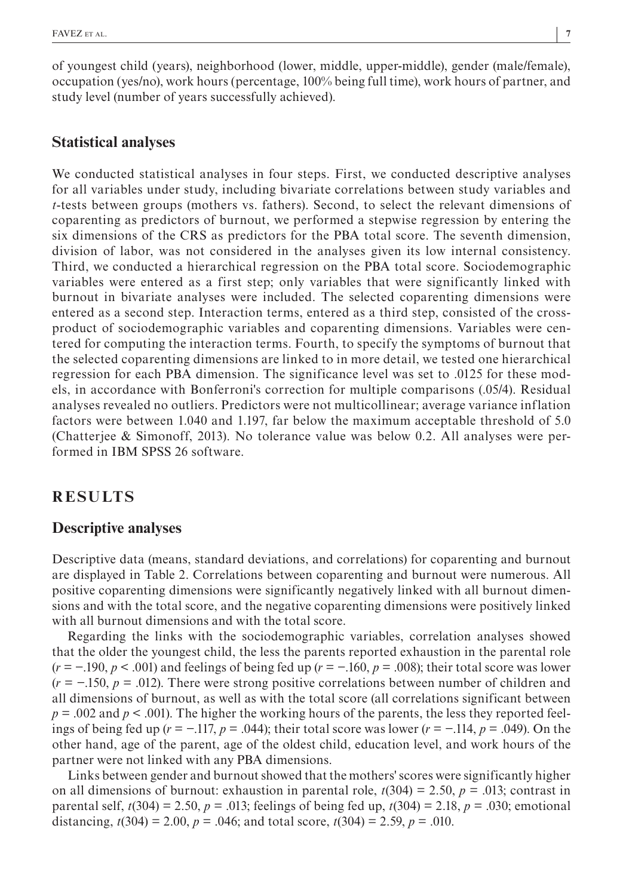of youngest child (years), neighborhood (lower, middle, upper-middle), gender (male/female), occupation (yes/no), work hours (percentage, 100% being full time), work hours of partner, and study level (number of years successfully achieved).

#### **Statistical analyses**

We conducted statistical analyses in four steps. First, we conducted descriptive analyses for all variables under study, including bivariate correlations between study variables and *t*-tests between groups (mothers vs. fathers). Second, to select the relevant dimensions of coparenting as predictors of burnout, we performed a stepwise regression by entering the six dimensions of the CRS as predictors for the PBA total score. The seventh dimension, division of labor, was not considered in the analyses given its low internal consistency. Third, we conducted a hierarchical regression on the PBA total score. Sociodemographic variables were entered as a first step; only variables that were significantly linked with burnout in bivariate analyses were included. The selected coparenting dimensions were entered as a second step. Interaction terms, entered as a third step, consisted of the crossproduct of sociodemographic variables and coparenting dimensions. Variables were centered for computing the interaction terms. Fourth, to specify the symptoms of burnout that the selected coparenting dimensions are linked to in more detail, we tested one hierarchical regression for each PBA dimension. The significance level was set to .0125 for these models, in accordance with Bonferroni's correction for multiple comparisons (.05/4). Residual analyses revealed no outliers. Predictors were not multicollinear; average variance inflation factors were between 1.040 and 1.197, far below the maximum acceptable threshold of 5.0 (Chatterjee & Simonoff, 2013). No tolerance value was below 0.2. All analyses were performed in IBM SPSS 26 software.

# **RESULTS**

#### **Descriptive analyses**

Descriptive data (means, standard deviations, and correlations) for coparenting and burnout are displayed in Table 2. Correlations between coparenting and burnout were numerous. All positive coparenting dimensions were significantly negatively linked with all burnout dimensions and with the total score, and the negative coparenting dimensions were positively linked with all burnout dimensions and with the total score.

Regarding the links with the sociodemographic variables, correlation analyses showed that the older the youngest child, the less the parents reported exhaustion in the parental role (*r* = −.190, *p* < .001) and feelings of being fed up (*r* = −.160, *p* = .008); their total score was lower (*r* = −.150, *p* = .012). There were strong positive correlations between number of children and all dimensions of burnout, as well as with the total score (all correlations significant between  $p = .002$  and  $p < .001$ ). The higher the working hours of the parents, the less they reported feelings of being fed up (*r* = −.117, *p* = .044); their total score was lower (*r* = −.114, *p* = .049). On the other hand, age of the parent, age of the oldest child, education level, and work hours of the partner were not linked with any PBA dimensions.

Links between gender and burnout showed that the mothers' scores were significantly higher on all dimensions of burnout: exhaustion in parental role,  $t(304) = 2.50$ ,  $p = .013$ ; contrast in parental self,  $t(304) = 2.50$ ,  $p = .013$ ; feelings of being fed up,  $t(304) = 2.18$ ,  $p = .030$ ; emotional distancing,  $t(304) = 2.00$ ,  $p = .046$ ; and total score,  $t(304) = 2.59$ ,  $p = .010$ .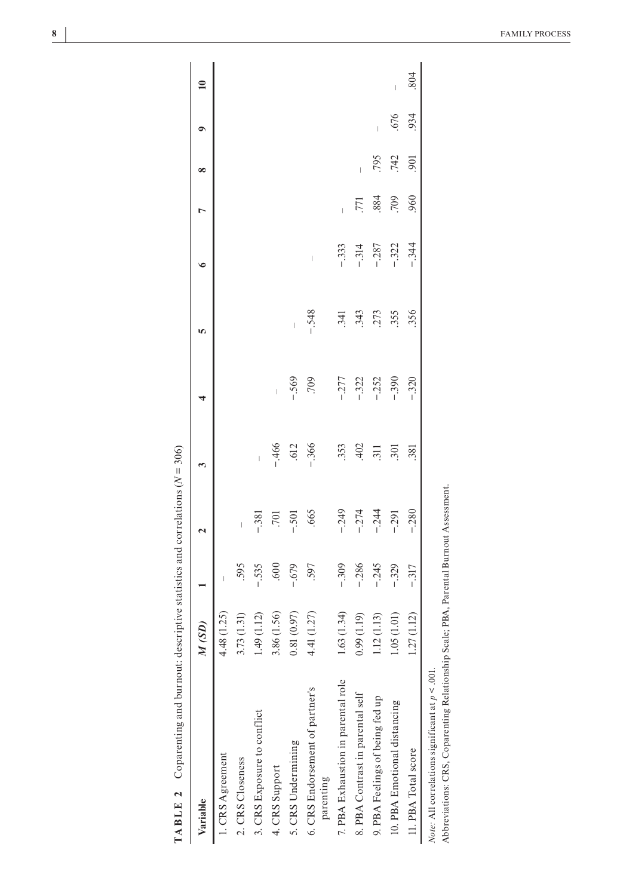| Variable                                                                                                                                    | M(SD)           |                                | 2                              |                                |                                | n                              | ∘       |                          | ∞                | 0    | $\mathbf{a}$                   |
|---------------------------------------------------------------------------------------------------------------------------------------------|-----------------|--------------------------------|--------------------------------|--------------------------------|--------------------------------|--------------------------------|---------|--------------------------|------------------|------|--------------------------------|
| 1. CRS Agreement                                                                                                                            | 4.48(1.25)      | $\begin{array}{c} \end{array}$ |                                |                                |                                |                                |         |                          |                  |      |                                |
| 2. CRS Closeness                                                                                                                            | 3.73 (1.31)     | .595                           | $\begin{array}{c} \end{array}$ |                                |                                |                                |         |                          |                  |      |                                |
| 3. CRS Exposure to conflict                                                                                                                 | (1.12)<br>1.49( | $-.535$                        | $-.381$                        | $\begin{array}{c} \end{array}$ |                                |                                |         |                          |                  |      |                                |
| 4. CRS Support                                                                                                                              | 3.86 (1.56)     | .600                           | .701                           | $-466$                         | $\begin{array}{c} \end{array}$ |                                |         |                          |                  |      |                                |
| 5. CRS Undermining                                                                                                                          | (0.97)<br>0.81( | $-679$                         | $-501$                         | .612                           | $-.569$                        | $\begin{array}{c} \end{array}$ |         |                          |                  |      |                                |
| 6. CRS Endorsement of partner's<br>parenting                                                                                                | (1.27)<br>4.41  | .597                           | .665                           | $-.366$                        | 709                            | $-.548$                        | I       |                          |                  |      |                                |
| 7. PBA Exhaustion in parental role                                                                                                          | (1.34)<br>1.63( | $-.309$                        | $-.249$                        | .353                           | $-277$                         | .341                           | $-333$  | $\overline{\phantom{a}}$ |                  |      |                                |
| 8. PBA Contrast in parental self                                                                                                            | (0.99(1.19))    | $-.286$                        | $-.274$                        | 402                            | $-322$                         | .343                           | $-.314$ | 771                      | Ï                |      |                                |
| 9. PBA Feelings of being fed up                                                                                                             | 1.12(1.13)      | $-.245$                        | $-.244$                        | .311                           | $-252$                         | 273                            | $-.287$ | 884                      | 795              | Ï    |                                |
| 10. PBA Emotional distancing                                                                                                                | 1.05(1.01)      | $-.329$                        | $-0.291$                       | .301                           | $-390$                         | .355                           | $-322$  | 709                      | 742              | .676 | $\begin{array}{c} \end{array}$ |
| 11. PBA Total score                                                                                                                         | 1.12<br>1.27(   | $-.317$                        | $-0.280$                       | .381                           | $-.320$                        | .356                           | $-344$  | 960                      | $\overline{901}$ | 934  | 804                            |
| Abbreviations: CRS, Coparenting Relationship Scale; PBA, Parental Burnout Assessment.<br>Note: All correlations significant at $p < .001$ . |                 |                                |                                |                                |                                |                                |         |                          |                  |      |                                |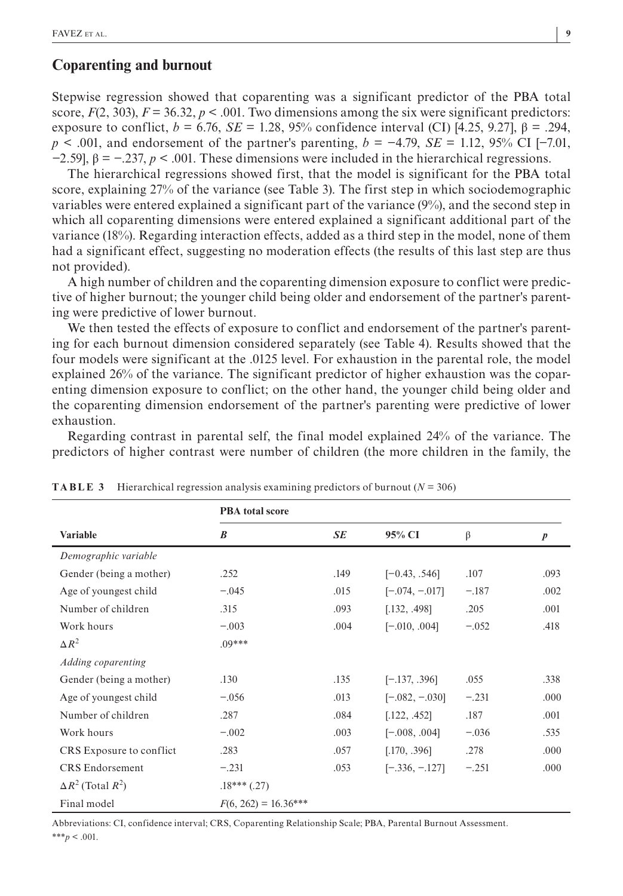#### **Coparenting and burnout**

Stepwise regression showed that coparenting was a significant predictor of the PBA total score,  $F(2, 303)$ ,  $F = 36.32$ ,  $p < .001$ . Two dimensions among the six were significant predictors: exposure to conflict,  $b = 6.76$ ,  $SE = 1.28$ ,  $95%$  confidence interval (CI) [4.25, 9.27], β = .294, *p* < .001, and endorsement of the partner's parenting, *b* = −4.79, *SE* = 1.12, 95% CI [−7.01,  $-2.59$ ],  $\beta = -0.237$ ,  $p < .001$ . These dimensions were included in the hierarchical regressions.

The hierarchical regressions showed first, that the model is significant for the PBA total score, explaining 27% of the variance (see Table 3). The first step in which sociodemographic variables were entered explained a significant part of the variance (9%), and the second step in which all coparenting dimensions were entered explained a significant additional part of the variance (18%). Regarding interaction effects, added as a third step in the model, none of them had a significant effect, suggesting no moderation effects (the results of this last step are thus not provided).

A high number of children and the coparenting dimension exposure to conflict were predictive of higher burnout; the younger child being older and endorsement of the partner's parenting were predictive of lower burnout.

We then tested the effects of exposure to conflict and endorsement of the partner's parenting for each burnout dimension considered separately (see Table 4). Results showed that the four models were significant at the .0125 level. For exhaustion in the parental role, the model explained 26% of the variance. The significant predictor of higher exhaustion was the coparenting dimension exposure to conflict; on the other hand, the younger child being older and the coparenting dimension endorsement of the partner's parenting were predictive of lower exhaustion.

Regarding contrast in parental self, the final model explained 24% of the variance. The predictors of higher contrast were number of children (the more children in the family, the

|                             | <b>PBA</b> total score |           |                  |         |                  |
|-----------------------------|------------------------|-----------|------------------|---------|------------------|
| <b>Variable</b>             | $\boldsymbol{B}$       | <b>SE</b> | 95% CI           | β       | $\boldsymbol{p}$ |
| Demographic variable        |                        |           |                  |         |                  |
| Gender (being a mother)     | .252                   | .149      | $[-0.43, .546]$  | .107    | .093             |
| Age of youngest child       | $-.045$                | .015      | $[-.074, -.017]$ | $-.187$ | .002             |
| Number of children          | .315                   | .093      | [.132, .498]     | .205    | .001             |
| Work hours                  | $-.003$                | .004      | $[-.010, .004]$  | $-.052$ | .418             |
| $\Delta R^2$                | $.09***$               |           |                  |         |                  |
| Adding coparenting          |                        |           |                  |         |                  |
| Gender (being a mother)     | .130                   | .135      | $[-.137, .396]$  | .055    | .338             |
| Age of youngest child       | $-.056$                | .013      | $[-.082, -.030]$ | $-.231$ | .000             |
| Number of children          | .287                   | .084      | [.122, .452]     | .187    | .001             |
| Work hours                  | $-.002$                | .003      | $[-.008, .004]$  | $-.036$ | .535             |
| CRS Exposure to conflict    | .283                   | .057      | [.170, .396]     | .278    | .000             |
| <b>CRS</b> Endorsement      | $-.231$                | .053      | $[-.336, -.127]$ | $-.251$ | .000             |
| $\Delta R^2$ (Total $R^2$ ) | $.18***$ $(.27)$       |           |                  |         |                  |
| Final model                 | $F(6, 262) = 16.36***$ |           |                  |         |                  |

**TABLE 3** Hierarchical regression analysis examining predictors of burnout  $(N = 306)$ 

Abbreviations: CI, confidence interval; CRS, Coparenting Relationship Scale; PBA, Parental Burnout Assessment.  $***p < .001$ .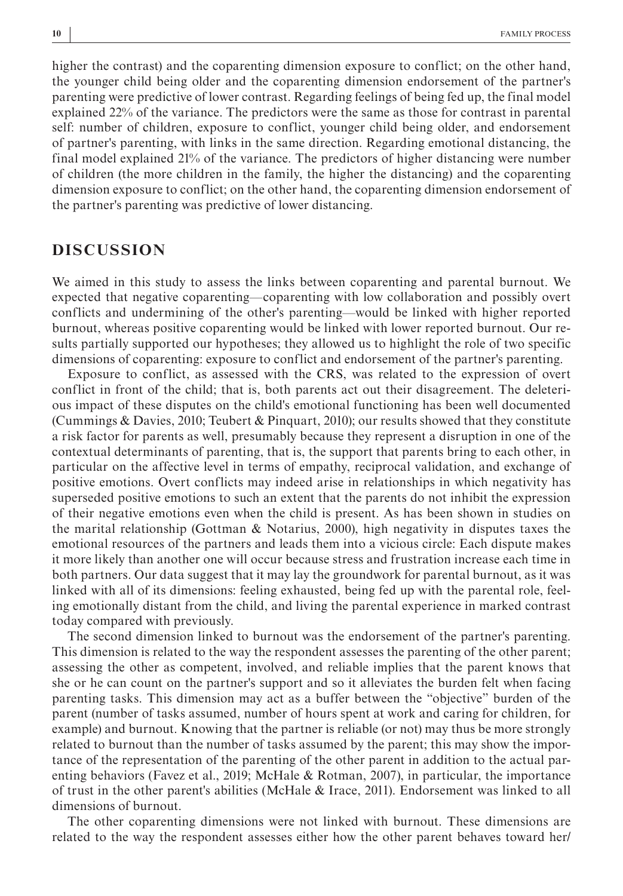higher the contrast) and the coparenting dimension exposure to conflict; on the other hand, the younger child being older and the coparenting dimension endorsement of the partner's parenting were predictive of lower contrast. Regarding feelings of being fed up, the final model explained 22% of the variance. The predictors were the same as those for contrast in parental self: number of children, exposure to conflict, younger child being older, and endorsement of partner's parenting, with links in the same direction. Regarding emotional distancing, the final model explained 21% of the variance. The predictors of higher distancing were number of children (the more children in the family, the higher the distancing) and the coparenting dimension exposure to conflict; on the other hand, the coparenting dimension endorsement of the partner's parenting was predictive of lower distancing.

# **DISCUSSION**

We aimed in this study to assess the links between coparenting and parental burnout. We expected that negative coparenting—coparenting with low collaboration and possibly overt conflicts and undermining of the other's parenting—would be linked with higher reported burnout, whereas positive coparenting would be linked with lower reported burnout. Our results partially supported our hypotheses; they allowed us to highlight the role of two specific dimensions of coparenting: exposure to conflict and endorsement of the partner's parenting.

Exposure to conflict, as assessed with the CRS, was related to the expression of overt conflict in front of the child; that is, both parents act out their disagreement. The deleterious impact of these disputes on the child's emotional functioning has been well documented (Cummings & Davies, 2010; Teubert & Pinquart, 2010); our results showed that they constitute a risk factor for parents as well, presumably because they represent a disruption in one of the contextual determinants of parenting, that is, the support that parents bring to each other, in particular on the affective level in terms of empathy, reciprocal validation, and exchange of positive emotions. Overt conflicts may indeed arise in relationships in which negativity has superseded positive emotions to such an extent that the parents do not inhibit the expression of their negative emotions even when the child is present. As has been shown in studies on the marital relationship (Gottman & Notarius, 2000), high negativity in disputes taxes the emotional resources of the partners and leads them into a vicious circle: Each dispute makes it more likely than another one will occur because stress and frustration increase each time in both partners. Our data suggest that it may lay the groundwork for parental burnout, as it was linked with all of its dimensions: feeling exhausted, being fed up with the parental role, feeling emotionally distant from the child, and living the parental experience in marked contrast today compared with previously.

The second dimension linked to burnout was the endorsement of the partner's parenting. This dimension is related to the way the respondent assesses the parenting of the other parent; assessing the other as competent, involved, and reliable implies that the parent knows that she or he can count on the partner's support and so it alleviates the burden felt when facing parenting tasks. This dimension may act as a buffer between the "objective" burden of the parent (number of tasks assumed, number of hours spent at work and caring for children, for example) and burnout. Knowing that the partner is reliable (or not) may thus be more strongly related to burnout than the number of tasks assumed by the parent; this may show the importance of the representation of the parenting of the other parent in addition to the actual parenting behaviors (Favez et al., 2019; McHale & Rotman, 2007), in particular, the importance of trust in the other parent's abilities (McHale & Irace, 2011). Endorsement was linked to all dimensions of burnout.

The other coparenting dimensions were not linked with burnout. These dimensions are related to the way the respondent assesses either how the other parent behaves toward her/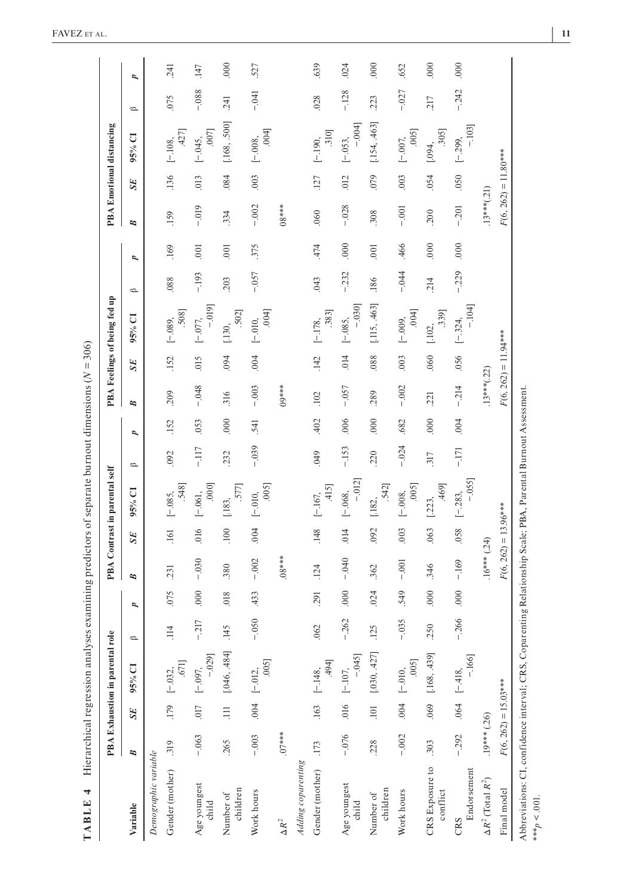|                                                                                                                                    |                |                        | PBA Exhaustion in parental rol | $\bullet$          |                          |                        |             | PBA Contrast in parental self |         |      |                        |           | PBA Feelings of being fed up |             |      |                        |           | PBA Emotional distancing |              |      |
|------------------------------------------------------------------------------------------------------------------------------------|----------------|------------------------|--------------------------------|--------------------|--------------------------|------------------------|-------------|-------------------------------|---------|------|------------------------|-----------|------------------------------|-------------|------|------------------------|-----------|--------------------------|--------------|------|
| Variable                                                                                                                           | B              | <b>SE</b>              | 95% CI                         | $\spadesuit$       | $\overline{\phantom{a}}$ | B                      | SE          | 95% CI                        | $\circ$ | P    | B                      | <b>SE</b> | 95% CI                       | $\triangle$ | P    | B                      | <b>SE</b> | $95%$ CI                 | $\spadesuit$ | P    |
| Demographic variable                                                                                                               |                |                        |                                |                    |                          |                        |             |                               |         |      |                        |           |                              |             |      |                        |           |                          |              |      |
| Gender (mother)                                                                                                                    | .319           |                        | .671]<br>$179$ [-.032,         | $\overline{4}$     | .075                     | 231                    | .161        | 548]<br>$[-.085,$             | .092    | .152 | 209                    | .152      | .508<br>$[-.089,$            | .088        | 169  | .159                   | .136      | 427]<br>$[-.108,$        | .075         | .241 |
| Age youngest<br>child                                                                                                              | $-.063$        | 710                    | $-0.029$<br>$[-.097,$          | 217                | 000                      | $-.030$                | .016        | 000<br>$[-.061,$              | $-117$  | .053 | $-0.048$               | 015       | $-0.019$<br>$[-.077,$        | $-193$      | .001 | $-0.019$               | 013       | .007]<br>$[-.045,$       | $-0.888$     | .147 |
| children<br>Number of                                                                                                              | .265           | $\equiv$               | [046, 484]                     | 45<br>F            | 018                      | .380                   | <b>.100</b> | 577]<br>[.183,                | .232    | 000  | 316                    | 094       | 502]<br>[.130,               | .203        | 000. | 334                    | .084      | [.168, .500]             | .241         | 000  |
| Work hours                                                                                                                         | $-.003$        |                        | .005<br>$.004$ [-.012,         | $-.050$            | 433                      | $-.002$                | .004        | .005<br>$[-.010,$             | $-.039$ | 541  | $-.003$                | .004      | .004<br>$[-.010,$            | $-.057$     | .375 | $-.002$                | .003      | .004<br>$[-.008,$        | $-0.41$      | 527  |
| $\Delta R^2$                                                                                                                       | $.07***$       |                        |                                |                    |                          | $****80.$              |             |                               |         |      | $09***$                |           |                              |             |      | $08***$                |           |                          |              |      |
| Adding coparenting                                                                                                                 |                |                        |                                |                    |                          |                        |             |                               |         |      |                        |           |                              |             |      |                        |           |                          |              |      |
| Gender (mother)                                                                                                                    | .173           | .163                   | ,494]<br>$[-.148,$             | 62<br>Ŗ            | .291                     | 124                    | .148        | 415]<br>$[-.167,$             | 049     | 402  | .102                   | 142       | .383<br>$[-.178,$            | .043        | 474  | .060                   | .127      | .310<br>$[-.190,$        | .028         | 639  |
| Age youngest<br>child                                                                                                              | $-0.076$       | .016                   | $-045$<br>$[-.107,$            | 262                | 000.                     | $-0.040$               | .014        | $-.012]$<br>$[-.068,$         | $-153$  | .006 | $-0.057$               | .014      | $-.030]$<br>$[-.085,$        | $-.232$     | 000  | $-.028$                | 012       | $-.004$<br>$[-.053,$     | $-128$       | .024 |
| children<br>Number of                                                                                                              | 228            | 101                    | [.030, .427]                   | 25                 | 024                      | 362                    | .092        | .542]<br>[.182,               | .220    | 000  | 289                    | .088      | [.115, .463]                 | .186        | 001  | 308                    | .079      | [.154, .463]             | 223          | 000  |
| Work hours                                                                                                                         | $-.002$        |                        | .005<br>$.004$ [-.010,         | 035<br>J,          | 549                      | $-.001$                | 003         | .005<br>$[-.008,$             | $-.024$ | .682 | $-.002$                | .003      | .004<br>$[-.009,$            | $-.044$     | 466  | $-0.001$               | .003      | .005<br>$[-.007,$        | $-.027$      | .652 |
| CRS Exposure to<br>conflict                                                                                                        | .303           | 069                    | [.168, .439]                   | $\mathcal{S}$<br>ų | 000                      | 346                    | .063        | 469]<br>[.223,                | .317    | 000  | .221                   | .060      | .339]<br>[.102,              | 214         | 000  | <b>200</b>             | .054      | .305<br>[.094,           | 217          | 000  |
| Endorsement<br>CRS                                                                                                                 | $-.292$        |                        | $-166$<br>$.064$ [-.418,       | .266               | 000                      | $-.169$                | .058        | $-0.055$<br>$[-.283,$         | $-171$  | .004 | $-.214$                | .056      | $-.104]$<br>$[-.324,$        | $-0.229$    | 000  | $-.201$                | 050       | $-103$<br>$[-.299,$      | $-.242$      | 000  |
| $\Delta R^2$ (Total $R^2$ )                                                                                                        | $.19***$ (.26) |                        |                                |                    |                          | $.16***$ (.24)         |             |                               |         |      | $.13***(.22)$          |           |                              |             |      | $.13***(.21)$          |           |                          |              |      |
| Final model                                                                                                                        |                | $F(6, 262) = 15.03***$ |                                |                    |                          | $F(6, 262) = 13.96***$ |             |                               |         |      | $F(6, 262) = 11.94***$ |           |                              |             |      | $F(6, 262) = 11.80***$ |           |                          |              |      |
| Abbreviations: CI, confidence interval; CRS, Coparenting Relationship Scale; PBA, Parental Burnout Assessment.<br>*** $p < .001$ . |                |                        |                                |                    |                          |                        |             |                               |         |      |                        |           |                              |             |      |                        |           |                          |              |      |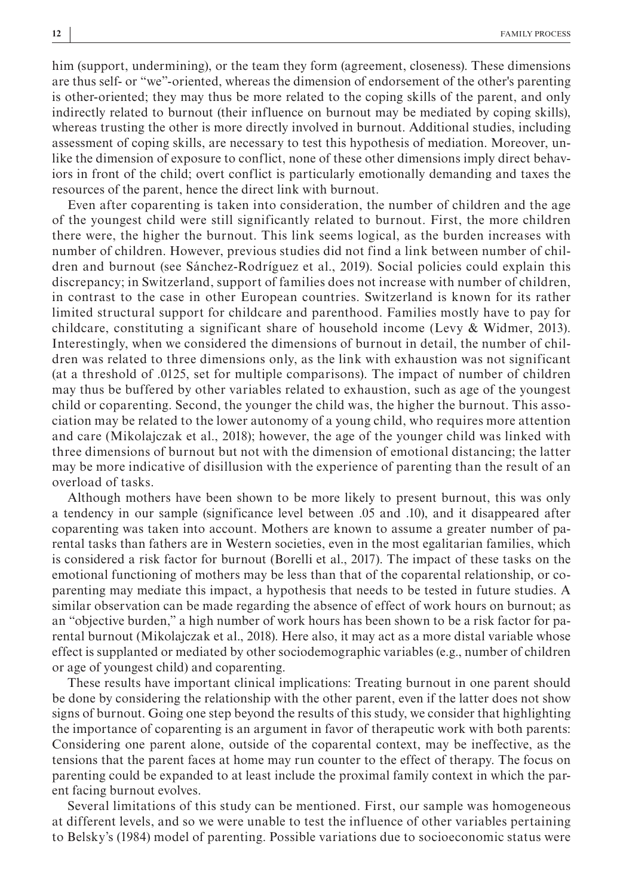him (support, undermining), or the team they form (agreement, closeness). These dimensions are thus self- or "we"-oriented, whereas the dimension of endorsement of the other's parenting is other-oriented; they may thus be more related to the coping skills of the parent, and only indirectly related to burnout (their influence on burnout may be mediated by coping skills), whereas trusting the other is more directly involved in burnout. Additional studies, including assessment of coping skills, are necessary to test this hypothesis of mediation. Moreover, unlike the dimension of exposure to conflict, none of these other dimensions imply direct behaviors in front of the child; overt conflict is particularly emotionally demanding and taxes the resources of the parent, hence the direct link with burnout.

Even after coparenting is taken into consideration, the number of children and the age of the youngest child were still significantly related to burnout. First, the more children there were, the higher the burnout. This link seems logical, as the burden increases with number of children. However, previous studies did not find a link between number of children and burnout (see Sánchez-Rodríguez et al., 2019). Social policies could explain this discrepancy; in Switzerland, support of families does not increase with number of children, in contrast to the case in other European countries. Switzerland is known for its rather limited structural support for childcare and parenthood. Families mostly have to pay for childcare, constituting a significant share of household income (Levy  $\&$  Widmer, 2013). Interestingly, when we considered the dimensions of burnout in detail, the number of children was related to three dimensions only, as the link with exhaustion was not significant (at a threshold of .0125, set for multiple comparisons). The impact of number of children may thus be buffered by other variables related to exhaustion, such as age of the youngest child or coparenting. Second, the younger the child was, the higher the burnout. This association may be related to the lower autonomy of a young child, who requires more attention and care (Mikolajczak et al., 2018); however, the age of the younger child was linked with three dimensions of burnout but not with the dimension of emotional distancing; the latter may be more indicative of disillusion with the experience of parenting than the result of an overload of tasks.

Although mothers have been shown to be more likely to present burnout, this was only a tendency in our sample (significance level between .05 and .10), and it disappeared after coparenting was taken into account. Mothers are known to assume a greater number of parental tasks than fathers are in Western societies, even in the most egalitarian families, which is considered a risk factor for burnout (Borelli et al., 2017). The impact of these tasks on the emotional functioning of mothers may be less than that of the coparental relationship, or coparenting may mediate this impact, a hypothesis that needs to be tested in future studies. A similar observation can be made regarding the absence of effect of work hours on burnout; as an "objective burden," a high number of work hours has been shown to be a risk factor for parental burnout (Mikolajczak et al., 2018). Here also, it may act as a more distal variable whose effect is supplanted or mediated by other sociodemographic variables (e.g., number of children or age of youngest child) and coparenting.

These results have important clinical implications: Treating burnout in one parent should be done by considering the relationship with the other parent, even if the latter does not show signs of burnout. Going one step beyond the results of this study, we consider that highlighting the importance of coparenting is an argument in favor of therapeutic work with both parents: Considering one parent alone, outside of the coparental context, may be ineffective, as the tensions that the parent faces at home may run counter to the effect of therapy. The focus on parenting could be expanded to at least include the proximal family context in which the parent facing burnout evolves.

Several limitations of this study can be mentioned. First, our sample was homogeneous at different levels, and so we were unable to test the influence of other variables pertaining to Belsky's (1984) model of parenting. Possible variations due to socioeconomic status were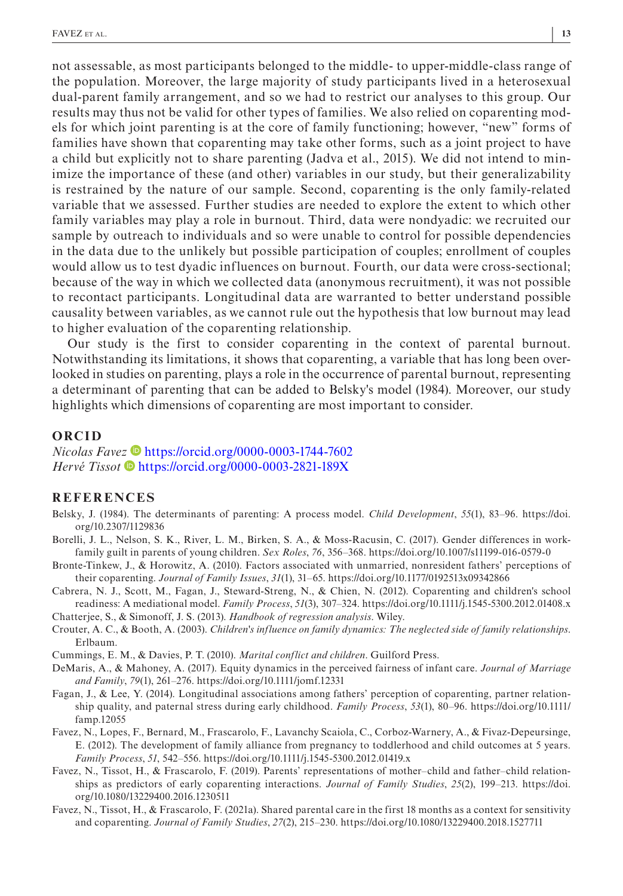not assessable, as most participants belonged to the middle- to upper-middle-class range of the population. Moreover, the large majority of study participants lived in a heterosexual dual-parent family arrangement, and so we had to restrict our analyses to this group. Our results may thus not be valid for other types of families. We also relied on coparenting models for which joint parenting is at the core of family functioning; however, "new" forms of families have shown that coparenting may take other forms, such as a joint project to have a child but explicitly not to share parenting (Jadva et al., 2015). We did not intend to minimize the importance of these (and other) variables in our study, but their generalizability is restrained by the nature of our sample. Second, coparenting is the only family-related variable that we assessed. Further studies are needed to explore the extent to which other family variables may play a role in burnout. Third, data were nondyadic: we recruited our sample by outreach to individuals and so were unable to control for possible dependencies in the data due to the unlikely but possible participation of couples; enrollment of couples would allow us to test dyadic influences on burnout. Fourth, our data were cross-sectional; because of the way in which we collected data (anonymous recruitment), it was not possible to recontact participants. Longitudinal data are warranted to better understand possible causality between variables, as we cannot rule out the hypothesis that low burnout may lead to higher evaluation of the coparenting relationship.

Our study is the first to consider coparenting in the context of parental burnout. Notwithstanding its limitations, it shows that coparenting, a variable that has long been overlooked in studies on parenting, plays a role in the occurrence of parental burnout, representing a determinant of parenting that can be added to Belsky's model (1984). Moreover, our study highlights which dimensions of coparenting are most important to consider.

#### **ORCID**

*Nicolas Fave[z](https://orcid.org/0000-0003-2821-189X)* **D** <https://orcid.org/0000-0003-1744-7602> *Hervé Tissot* ● <https://orcid.org/0000-0003-2821-189X>

#### **REFERENCES**

- Belsky, J. (1984). The determinants of parenting: A process model. *Child Development*, *55*(1), 83–96. [https://doi.](https://doi.org/10.2307/1129836) [org/10.2307/1129836](https://doi.org/10.2307/1129836)
- Borelli, J. L., Nelson, S. K., River, L. M., Birken, S. A., & Moss-Racusin, C. (2017). Gender differences in workfamily guilt in parents of young children. *Sex Roles*, *76*, 356–368.<https://doi.org/10.1007/s11199-016-0579-0>
- Bronte-Tinkew, J., & Horowitz, A. (2010). Factors associated with unmarried, nonresident fathers' perceptions of their coparenting. *Journal of Family Issues*, *31*(1), 31–65.<https://doi.org/10.1177/0192513x09342866>
- Cabrera, N. J., Scott, M., Fagan, J., Steward-Streng, N., & Chien, N. (2012). Coparenting and children's school readiness: A mediational model. *Family Process*, *51*(3), 307–324. <https://doi.org/10.1111/j.1545-5300.2012.01408.x>
- Chatterjee, S., & Simonoff, J. S. (2013). *Handbook of regression analysis*. Wiley.
- Crouter, A. C., & Booth, A. (2003). *Children's influence on family dynamics: The neglected side of family relationships*. Erlbaum.
- Cummings, E. M., & Davies, P. T. (2010). *Marital conflict and children*. Guilford Press.
- DeMaris, A., & Mahoney, A. (2017). Equity dynamics in the perceived fairness of infant care. *Journal of Marriage and Family*, *79*(1), 261–276.<https://doi.org/10.1111/jomf.12331>
- Fagan, J., & Lee, Y. (2014). Longitudinal associations among fathers' perception of coparenting, partner relationship quality, and paternal stress during early childhood. *Family Process*, *53*(1), 80–96. [https://doi.org/10.1111/](https://doi.org/10.1111/famp.12055) [famp.12055](https://doi.org/10.1111/famp.12055)
- Favez, N., Lopes, F., Bernard, M., Frascarolo, F., Lavanchy Scaiola, C., Corboz-Warnery, A., & Fivaz-Depeursinge, E. (2012). The development of family alliance from pregnancy to toddlerhood and child outcomes at 5 years. *Family Process*, *51*, 542–556. <https://doi.org/10.1111/j.1545-5300.2012.01419.x>
- Favez, N., Tissot, H., & Frascarolo, F. (2019). Parents' representations of mother–child and father–child relationships as predictors of early coparenting interactions. *Journal of Family Studies*, *25*(2), 199–213. [https://doi.](https://doi.org/10.1080/13229400.2016.1230511) [org/10.1080/13229400.2016.1230511](https://doi.org/10.1080/13229400.2016.1230511)
- Favez, N., Tissot, H., & Frascarolo, F. (2021a). Shared parental care in the first 18 months as a context for sensitivity and coparenting. *Journal of Family Studies*, *27*(2), 215–230.<https://doi.org/10.1080/13229400.2018.1527711>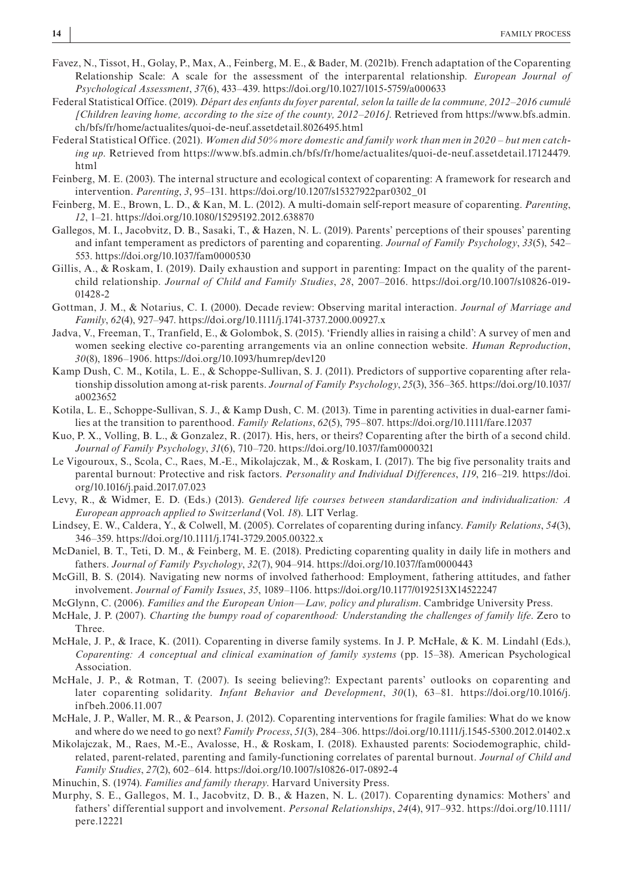- Favez, N., Tissot, H., Golay, P., Max, A., Feinberg, M. E., & Bader, M. (2021b). French adaptation of the Coparenting Relationship Scale: A scale for the assessment of the interparental relationship. *European Journal of Psychological Assessment*, *37*(6), 433–439. <https://doi.org/10.1027/1015-5759/a000633>
- Federal Statistical Office. (2019). *Départ des enfants du foyer parental, selon la taille de la commune, 2012–2016 cumulé [Children leaving home, according to the size of the county, 2012–2016]*. Retrieved from [https://www.bfs.admin.](https://www.bfs.admin.ch/bfs/fr/home/actualites/quoi-de-neuf.assetdetail.8026495.html) [ch/bfs/fr/home/actualites/quoi-de-neuf.assetdetail.8026495.html](https://www.bfs.admin.ch/bfs/fr/home/actualites/quoi-de-neuf.assetdetail.8026495.html)
- Federal Statistical Office. (2021). *Women did 50% more domestic and family work than men in 2020 but men catching up*. Retrieved from [https://www.bfs.admin.ch/bfs/fr/home/actualites/quoi-de-neuf.assetdetail.17124479.](https://www.bfs.admin.ch/bfs/fr/home/actualites/quoi-de-neuf.assetdetail.17124479.html) [html](https://www.bfs.admin.ch/bfs/fr/home/actualites/quoi-de-neuf.assetdetail.17124479.html)
- Feinberg, M. E. (2003). The internal structure and ecological context of coparenting: A framework for research and intervention. *Parenting*, *3*, 95–131. [https://doi.org/10.1207/s15327922par0302\\_01](https://doi.org/10.1207/s15327922par0302_01)
- Feinberg, M. E., Brown, L. D., & Kan, M. L. (2012). A multi-domain self-report measure of coparenting. *Parenting*, *12*, 1–21. <https://doi.org/10.1080/15295192.2012.638870>
- Gallegos, M. I., Jacobvitz, D. B., Sasaki, T., & Hazen, N. L. (2019). Parents' perceptions of their spouses' parenting and infant temperament as predictors of parenting and coparenting. *Journal of Family Psychology*, *33*(5), 542– 553.<https://doi.org/10.1037/fam0000530>
- Gillis, A., & Roskam, I. (2019). Daily exhaustion and support in parenting: Impact on the quality of the parentchild relationship. *Journal of Child and Family Studies*, *28*, 2007–2016. [https://doi.org/10.1007/s10826-019-](https://doi.org/10.1007/s10826-019-01428-2) [01428-2](https://doi.org/10.1007/s10826-019-01428-2)
- Gottman, J. M., & Notarius, C. I. (2000). Decade review: Observing marital interaction. *Journal of Marriage and Family*, *62*(4), 927–947.<https://doi.org/10.1111/j.1741-3737.2000.00927.x>
- Jadva, V., Freeman, T., Tranfield, E., & Golombok, S. (2015). 'Friendly allies in raising a child': A survey of men and women seeking elective co-parenting arrangements via an online connection website. *Human Reproduction*, *30*(8), 1896–1906.<https://doi.org/10.1093/humrep/dev120>
- Kamp Dush, C. M., Kotila, L. E., & Schoppe-Sullivan, S. J. (2011). Predictors of supportive coparenting after relationship dissolution among at-risk parents. *Journal of Family Psychology*, *25*(3), 356–365. [https://doi.org/10.1037/](https://doi.org/10.1037/a0023652) [a0023652](https://doi.org/10.1037/a0023652)
- Kotila, L. E., Schoppe-Sullivan, S. J., & Kamp Dush, C. M. (2013). Time in parenting activities in dual-earner families at the transition to parenthood. *Family Relations*, *62*(5), 795–807.<https://doi.org/10.1111/fare.12037>
- Kuo, P. X., Volling, B. L., & Gonzalez, R. (2017). His, hers, or theirs? Coparenting after the birth of a second child. *Journal of Family Psychology*, *31*(6), 710–720.<https://doi.org/10.1037/fam0000321>
- Le Vigouroux, S., Scola, C., Raes, M.-E., Mikolajczak, M., & Roskam, I. (2017). The big five personality traits and parental burnout: Protective and risk factors. *Personality and Individual Differences*, *119*, 216–219. [https://doi.](https://doi.org/10.1016/j.paid.2017.07.023) [org/10.1016/j.paid.2017.07.023](https://doi.org/10.1016/j.paid.2017.07.023)
- Levy, R., & Widmer, E. D. (Eds.) (2013). *Gendered life courses between standardization and individualization: A European approach applied to Switzerland* (Vol. *18*). LIT Verlag.
- Lindsey, E. W., Caldera, Y., & Colwell, M. (2005). Correlates of coparenting during infancy. *Family Relations*, *54*(3), 346–359. <https://doi.org/10.1111/j.1741-3729.2005.00322.x>
- McDaniel, B. T., Teti, D. M., & Feinberg, M. E. (2018). Predicting coparenting quality in daily life in mothers and fathers. *Journal of Family Psychology*, *32*(7), 904–914. <https://doi.org/10.1037/fam0000443>
- McGill, B. S. (2014). Navigating new norms of involved fatherhood: Employment, fathering attitudes, and father involvement. *Journal of Family Issues*, *35*, 1089–1106. <https://doi.org/10.1177/0192513X14522247>
- McGlynn, C. (2006). *Families and the European Union—Law, policy and pluralism*. Cambridge University Press.
- McHale, J. P. (2007). *Charting the bumpy road of coparenthood: Understanding the challenges of family life*. Zero to Three.
- McHale, J. P., & Irace, K. (2011). Coparenting in diverse family systems. In J. P. McHale, & K. M. Lindahl (Eds.), *Coparenting: A conceptual and clinical examination of family systems* (pp. 15–38). American Psychological Association.
- McHale, J. P., & Rotman, T. (2007). Is seeing believing?: Expectant parents' outlooks on coparenting and later coparenting solidarity. *Infant Behavior and Development*, *30*(1), 63–81. [https://doi.org/10.1016/j.](https://doi.org/10.1016/j.infbeh.2006.11.007) [infbeh.2006.11.007](https://doi.org/10.1016/j.infbeh.2006.11.007)
- McHale, J. P., Waller, M. R., & Pearson, J. (2012). Coparenting interventions for fragile families: What do we know and where do we need to go next? *Family Process*, *51*(3), 284–306.<https://doi.org/10.1111/j.1545-5300.2012.01402.x>
- Mikolajczak, M., Raes, M.-E., Avalosse, H., & Roskam, I. (2018). Exhausted parents: Sociodemographic, childrelated, parent-related, parenting and family-functioning correlates of parental burnout. *Journal of Child and Family Studies*, *27*(2), 602–614.<https://doi.org/10.1007/s10826-017-0892-4>
- Minuchin, S. (1974). *Families and family therapy*. Harvard University Press.
- Murphy, S. E., Gallegos, M. I., Jacobvitz, D. B., & Hazen, N. L. (2017). Coparenting dynamics: Mothers' and fathers' differential support and involvement. *Personal Relationships*, *24*(4), 917–932. [https://doi.org/10.1111/](https://doi.org/10.1111/pere.12221) [pere.12221](https://doi.org/10.1111/pere.12221)